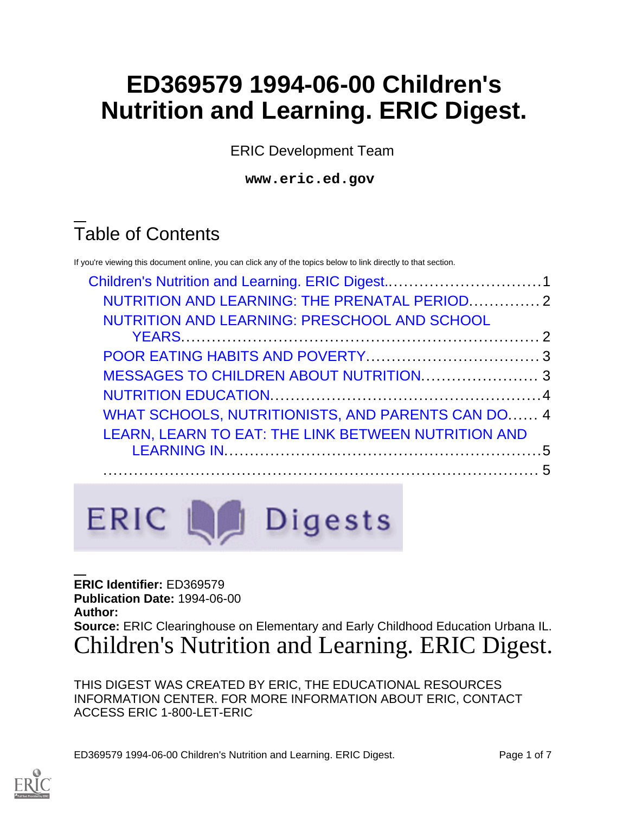# **ED369579 1994-06-00 Children's Nutrition and Learning. ERIC Digest.**

ERIC Development Team

**www.eric.ed.gov**

# Table of Contents

If you're viewing this document online, you can click any of the topics below to link directly to that section.

| NUTRITION AND LEARNING: THE PRENATAL PERIOD 2       |  |
|-----------------------------------------------------|--|
| NUTRITION AND LEARNING: PRESCHOOL AND SCHOOL        |  |
|                                                     |  |
|                                                     |  |
|                                                     |  |
| WHAT SCHOOLS, NUTRITIONISTS, AND PARENTS CAN DO 4   |  |
| LEARN, LEARN TO EAT: THE LINK BETWEEN NUTRITION AND |  |
|                                                     |  |

ERIC La Digests

**ERIC Identifier:** ED369579 **Publication Date:** 1994-06-00 **Author: Source:** ERIC Clearinghouse on Elementary and Early Childhood Education Urbana IL. Children's Nutrition and Learning. ERIC Digest.

<span id="page-0-0"></span>THIS DIGEST WAS CREATED BY ERIC, THE EDUCATIONAL RESOURCES INFORMATION CENTER. FOR MORE INFORMATION ABOUT ERIC, CONTACT ACCESS ERIC 1-800-LET-ERIC

ED369579 1994-06-00 Children's Nutrition and Learning. ERIC Digest. Page 1 of 7

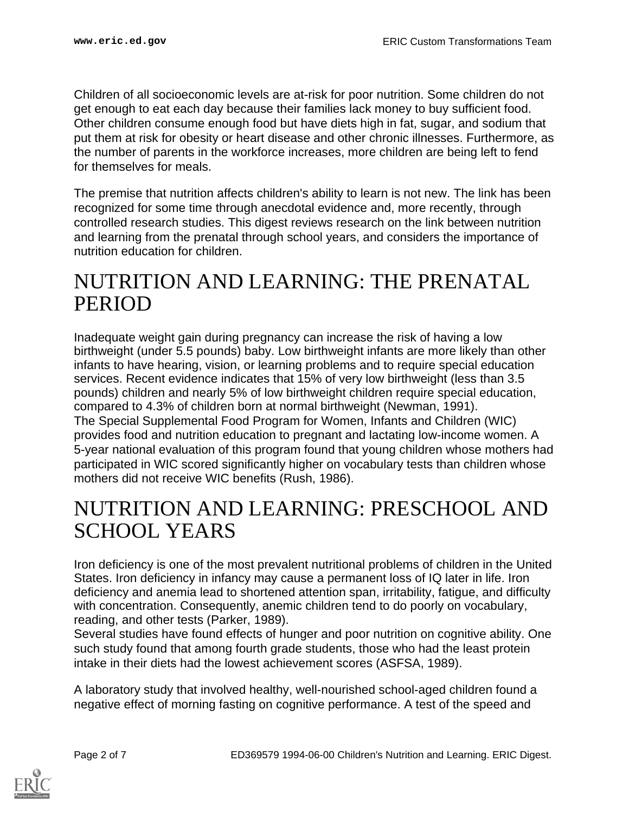Children of all socioeconomic levels are at-risk for poor nutrition. Some children do not get enough to eat each day because their families lack money to buy sufficient food. Other children consume enough food but have diets high in fat, sugar, and sodium that put them at risk for obesity or heart disease and other chronic illnesses. Furthermore, as the number of parents in the workforce increases, more children are being left to fend for themselves for meals.

The premise that nutrition affects children's ability to learn is not new. The link has been recognized for some time through anecdotal evidence and, more recently, through controlled research studies. This digest reviews research on the link between nutrition and learning from the prenatal through school years, and considers the importance of nutrition education for children.

### <span id="page-1-0"></span>NUTRITION AND LEARNING: THE PRENATAL PERIOD

Inadequate weight gain during pregnancy can increase the risk of having a low birthweight (under 5.5 pounds) baby. Low birthweight infants are more likely than other infants to have hearing, vision, or learning problems and to require special education services. Recent evidence indicates that 15% of very low birthweight (less than 3.5 pounds) children and nearly 5% of low birthweight children require special education, compared to 4.3% of children born at normal birthweight (Newman, 1991). The Special Supplemental Food Program for Women, Infants and Children (WIC) provides food and nutrition education to pregnant and lactating low-income women. A 5-year national evaluation of this program found that young children whose mothers had participated in WIC scored significantly higher on vocabulary tests than children whose mothers did not receive WIC benefits (Rush, 1986).

### <span id="page-1-1"></span>NUTRITION AND LEARNING: PRESCHOOL AND SCHOOL YEARS

Iron deficiency is one of the most prevalent nutritional problems of children in the United States. Iron deficiency in infancy may cause a permanent loss of IQ later in life. Iron deficiency and anemia lead to shortened attention span, irritability, fatigue, and difficulty with concentration. Consequently, anemic children tend to do poorly on vocabulary, reading, and other tests (Parker, 1989).

Several studies have found effects of hunger and poor nutrition on cognitive ability. One such study found that among fourth grade students, those who had the least protein intake in their diets had the lowest achievement scores (ASFSA, 1989).

A laboratory study that involved healthy, well-nourished school-aged children found a negative effect of morning fasting on cognitive performance. A test of the speed and

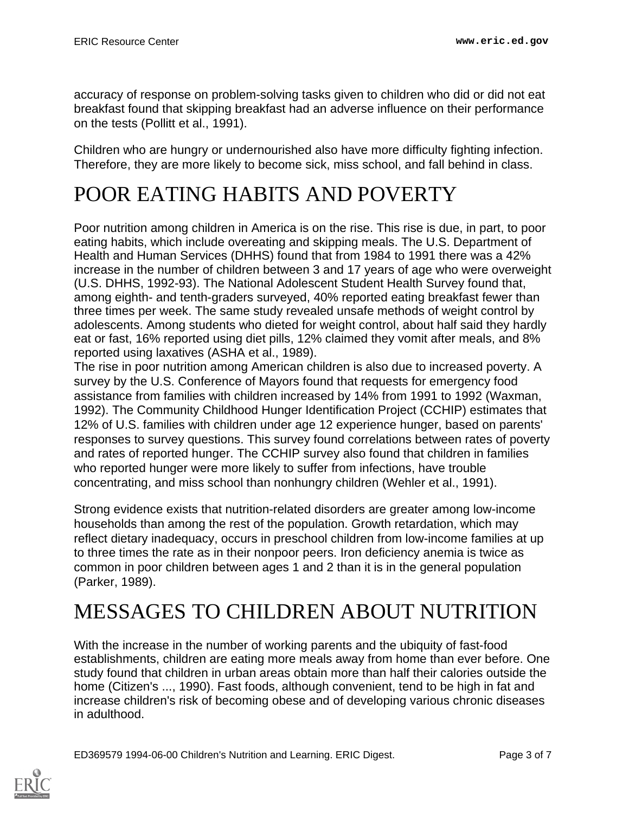accuracy of response on problem-solving tasks given to children who did or did not eat breakfast found that skipping breakfast had an adverse influence on their performance on the tests (Pollitt et al., 1991).

Children who are hungry or undernourished also have more difficulty fighting infection. Therefore, they are more likely to become sick, miss school, and fall behind in class.

# <span id="page-2-0"></span>POOR EATING HABITS AND POVERTY

Poor nutrition among children in America is on the rise. This rise is due, in part, to poor eating habits, which include overeating and skipping meals. The U.S. Department of Health and Human Services (DHHS) found that from 1984 to 1991 there was a 42% increase in the number of children between 3 and 17 years of age who were overweight (U.S. DHHS, 1992-93). The National Adolescent Student Health Survey found that, among eighth- and tenth-graders surveyed, 40% reported eating breakfast fewer than three times per week. The same study revealed unsafe methods of weight control by adolescents. Among students who dieted for weight control, about half said they hardly eat or fast, 16% reported using diet pills, 12% claimed they vomit after meals, and 8% reported using laxatives (ASHA et al., 1989).

The rise in poor nutrition among American children is also due to increased poverty. A survey by the U.S. Conference of Mayors found that requests for emergency food assistance from families with children increased by 14% from 1991 to 1992 (Waxman, 1992). The Community Childhood Hunger Identification Project (CCHIP) estimates that 12% of U.S. families with children under age 12 experience hunger, based on parents' responses to survey questions. This survey found correlations between rates of poverty and rates of reported hunger. The CCHIP survey also found that children in families who reported hunger were more likely to suffer from infections, have trouble concentrating, and miss school than nonhungry children (Wehler et al., 1991).

Strong evidence exists that nutrition-related disorders are greater among low-income households than among the rest of the population. Growth retardation, which may reflect dietary inadequacy, occurs in preschool children from low-income families at up to three times the rate as in their nonpoor peers. Iron deficiency anemia is twice as common in poor children between ages 1 and 2 than it is in the general population (Parker, 1989).

# <span id="page-2-1"></span>MESSAGES TO CHILDREN ABOUT NUTRITION

With the increase in the number of working parents and the ubiquity of fast-food establishments, children are eating more meals away from home than ever before. One study found that children in urban areas obtain more than half their calories outside the home (Citizen's ..., 1990). Fast foods, although convenient, tend to be high in fat and increase children's risk of becoming obese and of developing various chronic diseases in adulthood.



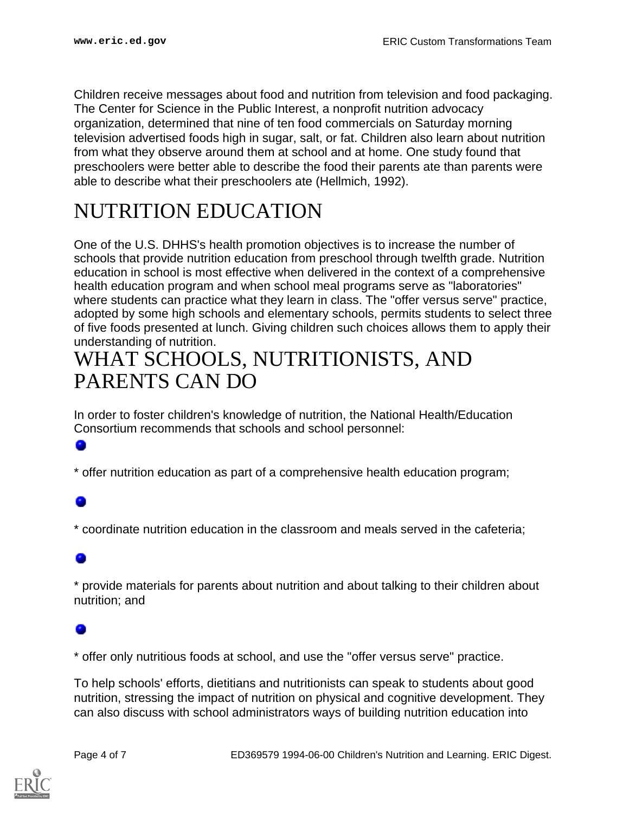Children receive messages about food and nutrition from television and food packaging. The Center for Science in the Public Interest, a nonprofit nutrition advocacy organization, determined that nine of ten food commercials on Saturday morning television advertised foods high in sugar, salt, or fat. Children also learn about nutrition from what they observe around them at school and at home. One study found that preschoolers were better able to describe the food their parents ate than parents were able to describe what their preschoolers ate (Hellmich, 1992).

## <span id="page-3-0"></span>NUTRITION EDUCATION

One of the U.S. DHHS's health promotion objectives is to increase the number of schools that provide nutrition education from preschool through twelfth grade. Nutrition education in school is most effective when delivered in the context of a comprehensive health education program and when school meal programs serve as "laboratories" where students can practice what they learn in class. The "offer versus serve" practice, adopted by some high schools and elementary schools, permits students to select three of five foods presented at lunch. Giving children such choices allows them to apply their understanding of nutrition.

### <span id="page-3-1"></span>WHAT SCHOOLS, NUTRITIONISTS, AND PARENTS CAN DO

In order to foster children's knowledge of nutrition, the National Health/Education Consortium recommends that schools and school personnel:

\* offer nutrition education as part of a comprehensive health education program;

\* coordinate nutrition education in the classroom and meals served in the cafeteria;

\* provide materials for parents about nutrition and about talking to their children about nutrition; and

\* offer only nutritious foods at school, and use the "offer versus serve" practice.

To help schools' efforts, dietitians and nutritionists can speak to students about good nutrition, stressing the impact of nutrition on physical and cognitive development. They can also discuss with school administrators ways of building nutrition education into

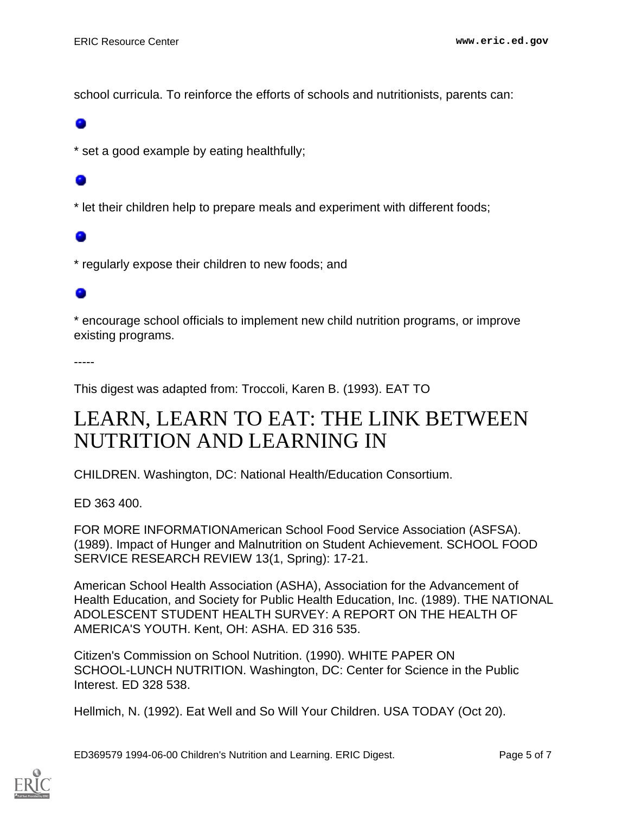school curricula. To reinforce the efforts of schools and nutritionists, parents can:

\* set a good example by eating healthfully;

\* let their children help to prepare meals and experiment with different foods;

\* regularly expose their children to new foods; and

### ۰

\* encourage school officials to implement new child nutrition programs, or improve existing programs.

-----

This digest was adapted from: Troccoli, Karen B. (1993). EAT TO

### <span id="page-4-0"></span>LEARN, LEARN TO EAT: THE LINK BETWEEN NUTRITION AND LEARNING IN

CHILDREN. Washington, DC: National Health/Education Consortium.

ED 363 400.

FOR MORE INFORMATIONAmerican School Food Service Association (ASFSA). (1989). Impact of Hunger and Malnutrition on Student Achievement. SCHOOL FOOD SERVICE RESEARCH REVIEW 13(1, Spring): 17-21.

American School Health Association (ASHA), Association for the Advancement of Health Education, and Society for Public Health Education, Inc. (1989). THE NATIONAL ADOLESCENT STUDENT HEALTH SURVEY: A REPORT ON THE HEALTH OF AMERICA'S YOUTH. Kent, OH: ASHA. ED 316 535.

Citizen's Commission on School Nutrition. (1990). WHITE PAPER ON SCHOOL-LUNCH NUTRITION. Washington, DC: Center for Science in the Public Interest. ED 328 538.

Hellmich, N. (1992). Eat Well and So Will Your Children. USA TODAY (Oct 20).

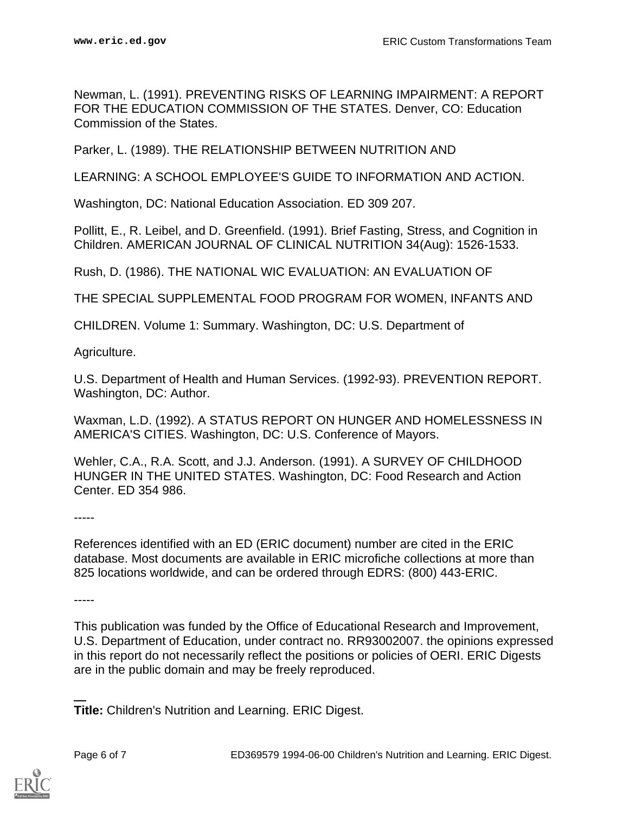Newman, L. (1991). PREVENTING RISKS OF LEARNING IMPAIRMENT: A REPORT FOR THE EDUCATION COMMISSION OF THE STATES. Denver, CO: Education Commission of the States.

Parker, L. (1989). THE RELATIONSHIP BETWEEN NUTRITION AND

LEARNING: A SCHOOL EMPLOYEE'S GUIDE TO INFORMATION AND ACTION.

Washington, DC: National Education Association. ED 309 207.

Pollitt, E., R. Leibel, and D. Greenfield. (1991). Brief Fasting, Stress, and Cognition in Children. AMERICAN JOURNAL OF CLINICAL NUTRITION 34(Aug): 1526-1533.

Rush, D. (1986). THE NATIONAL WIC EVALUATION: AN EVALUATION OF

THE SPECIAL SUPPLEMENTAL FOOD PROGRAM FOR WOMEN, INFANTS AND

CHILDREN. Volume 1: Summary. Washington, DC: U.S. Department of

Agriculture.

U.S. Department of Health and Human Services. (1992-93). PREVENTION REPORT. Washington, DC: Author.

Waxman, L.D. (1992). A STATUS REPORT ON HUNGER AND HOMELESSNESS IN AMERICA'S CITIES. Washington, DC: U.S. Conference of Mayors.

Wehler, C.A., R.A. Scott, and J.J. Anderson. (1991). A SURVEY OF CHILDHOOD HUNGER IN THE UNITED STATES. Washington, DC: Food Research and Action Center. ED 354 986.

-----

References identified with an ED (ERIC document) number are cited in the ERIC database. Most documents are available in ERIC microfiche collections at more than 825 locations worldwide, and can be ordered through EDRS: (800) 443-ERIC.

-----

This publication was funded by the Office of Educational Research and Improvement, U.S. Department of Education, under contract no. RR93002007. the opinions expressed in this report do not necessarily reflect the positions or policies of OERI. ERIC Digests are in the public domain and may be freely reproduced.

**Title:** Children's Nutrition and Learning. ERIC Digest.